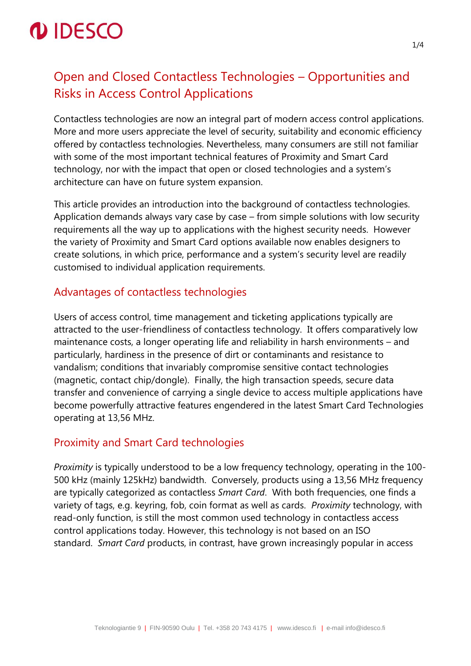

## Open and Closed Contactless Technologies – Opportunities and Risks in Access Control Applications

Contactless technologies are now an integral part of modern access control applications. More and more users appreciate the level of security, suitability and economic efficiency offered by contactless technologies. Nevertheless, many consumers are still not familiar with some of the most important technical features of Proximity and Smart Card technology, nor with the impact that open or closed technologies and a system's architecture can have on future system expansion.

This article provides an introduction into the background of contactless technologies. Application demands always vary case by case – from simple solutions with low security requirements all the way up to applications with the highest security needs. However the variety of Proximity and Smart Card options available now enables designers to create solutions, in which price, performance and a system's security level are readily customised to individual application requirements.

### Advantages of contactless technologies

Users of access control, time management and ticketing applications typically are attracted to the user-friendliness of contactless technology. It offers comparatively low maintenance costs, a longer operating life and reliability in harsh environments – and particularly, hardiness in the presence of dirt or contaminants and resistance to vandalism; conditions that invariably compromise sensitive contact technologies (magnetic, contact chip/dongle). Finally, the high transaction speeds, secure data transfer and convenience of carrying a single device to access multiple applications have become powerfully attractive features engendered in the latest Smart Card Technologies operating at 13,56 MHz.

### Proximity and Smart Card technologies

*Proximity* is typically understood to be a low frequency technology, operating in the 100- 500 kHz (mainly 125kHz) bandwidth. Conversely, products using a 13,56 MHz frequency are typically categorized as contactless *Smart Card*. With both frequencies, one finds a variety of tags, e.g. keyring, fob, coin format as well as cards. *Proximity* technology, with read-only function, is still the most common used technology in contactless access control applications today. However, this technology is not based on an ISO standard. *Smart Card* products, in contrast, have grown increasingly popular in access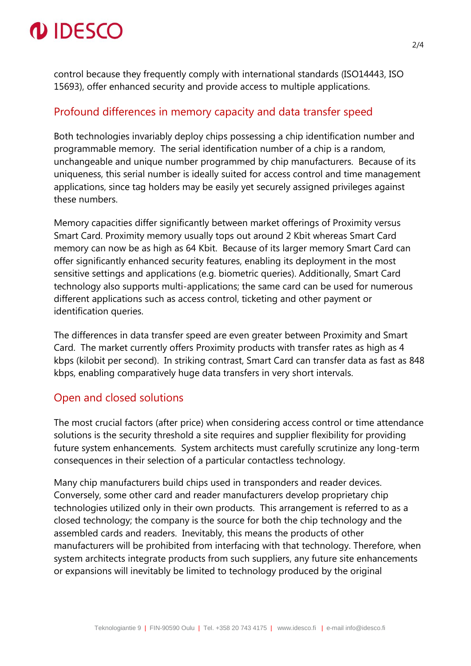# *IDESCO*

control because they frequently comply with international standards (ISO14443, ISO 15693), offer enhanced security and provide access to multiple applications.

#### Profound differences in memory capacity and data transfer speed

Both technologies invariably deploy chips possessing a chip identification number and programmable memory. The serial identification number of a chip is a random, unchangeable and unique number programmed by chip manufacturers. Because of its uniqueness, this serial number is ideally suited for access control and time management applications, since tag holders may be easily yet securely assigned privileges against these numbers.

Memory capacities differ significantly between market offerings of Proximity versus Smart Card. Proximity memory usually tops out around 2 Kbit whereas Smart Card memory can now be as high as 64 Kbit. Because of its larger memory Smart Card can offer significantly enhanced security features, enabling its deployment in the most sensitive settings and applications (e.g. biometric queries). Additionally, Smart Card technology also supports multi-applications; the same card can be used for numerous different applications such as access control, ticketing and other payment or identification queries.

The differences in data transfer speed are even greater between Proximity and Smart Card. The market currently offers Proximity products with transfer rates as high as 4 kbps (kilobit per second). In striking contrast, Smart Card can transfer data as fast as 848 kbps, enabling comparatively huge data transfers in very short intervals.

#### Open and closed solutions

The most crucial factors (after price) when considering access control or time attendance solutions is the security threshold a site requires and supplier flexibility for providing future system enhancements. System architects must carefully scrutinize any long-term consequences in their selection of a particular contactless technology.

Many chip manufacturers build chips used in transponders and reader devices. Conversely, some other card and reader manufacturers develop proprietary chip technologies utilized only in their own products. This arrangement is referred to as a closed technology; the company is the source for both the chip technology and the assembled cards and readers. Inevitably, this means the products of other manufacturers will be prohibited from interfacing with that technology. Therefore, when system architects integrate products from such suppliers, any future site enhancements or expansions will inevitably be limited to technology produced by the original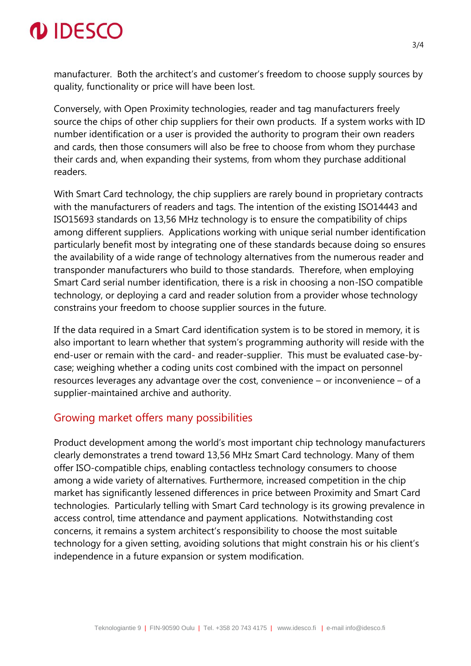

manufacturer. Both the architect's and customer's freedom to choose supply sources by quality, functionality or price will have been lost.

Conversely, with Open Proximity technologies, reader and tag manufacturers freely source the chips of other chip suppliers for their own products. If a system works with ID number identification or a user is provided the authority to program their own readers and cards, then those consumers will also be free to choose from whom they purchase their cards and, when expanding their systems, from whom they purchase additional readers.

With Smart Card technology, the chip suppliers are rarely bound in proprietary contracts with the manufacturers of readers and tags. The intention of the existing ISO14443 and ISO15693 standards on 13,56 MHz technology is to ensure the compatibility of chips among different suppliers. Applications working with unique serial number identification particularly benefit most by integrating one of these standards because doing so ensures the availability of a wide range of technology alternatives from the numerous reader and transponder manufacturers who build to those standards. Therefore, when employing Smart Card serial number identification, there is a risk in choosing a non-ISO compatible technology, or deploying a card and reader solution from a provider whose technology constrains your freedom to choose supplier sources in the future.

If the data required in a Smart Card identification system is to be stored in memory, it is also important to learn whether that system's programming authority will reside with the end-user or remain with the card- and reader-supplier. This must be evaluated case-bycase; weighing whether a coding units cost combined with the impact on personnel resources leverages any advantage over the cost, convenience – or inconvenience – of a supplier-maintained archive and authority.

#### Growing market offers many possibilities

Product development among the world's most important chip technology manufacturers clearly demonstrates a trend toward 13,56 MHz Smart Card technology. Many of them offer ISO-compatible chips, enabling contactless technology consumers to choose among a wide variety of alternatives. Furthermore, increased competition in the chip market has significantly lessened differences in price between Proximity and Smart Card technologies. Particularly telling with Smart Card technology is its growing prevalence in access control, time attendance and payment applications. Notwithstanding cost concerns, it remains a system architect's responsibility to choose the most suitable technology for a given setting, avoiding solutions that might constrain his or his client's independence in a future expansion or system modification.